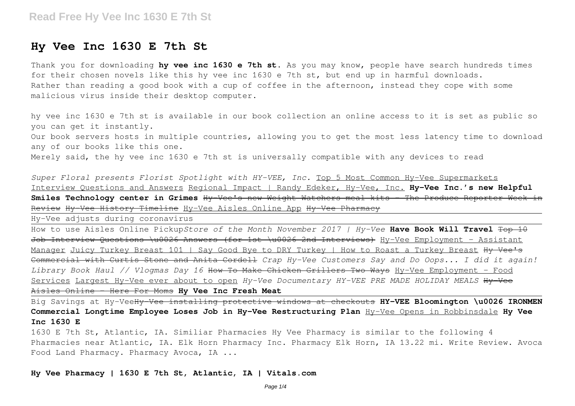## **Hy Vee Inc 1630 E 7th St**

Thank you for downloading **hy vee inc 1630 e 7th st**. As you may know, people have search hundreds times for their chosen novels like this hy vee inc 1630 e 7th st, but end up in harmful downloads. Rather than reading a good book with a cup of coffee in the afternoon, instead they cope with some malicious virus inside their desktop computer.

hy vee inc 1630 e 7th st is available in our book collection an online access to it is set as public so you can get it instantly.

Our book servers hosts in multiple countries, allowing you to get the most less latency time to download any of our books like this one.

Merely said, the hy vee inc 1630 e 7th st is universally compatible with any devices to read

*Super Floral presents Florist Spotlight with HY-VEE, Inc.* Top 5 Most Common Hy-Vee Supermarkets Interview Questions and Answers Regional Impact | Randy Edeker, Hy-Vee, Inc. **Hy-Vee Inc.'s new Helpful Smiles Technology center in Grimes** Hy-Vee's new Weight Watchers meal kits - The Produce Reporter Week in Review Hy-Vee History Timeline Hy-Vee Aisles Online App Hy-Vee Pharmacy

Hy-Vee adjusts during coronavirus

How to use Aisles Online Pickup*Store of the Month November 2017 | Hy-Vee* **Have Book Will Travel** Top 10 Job Interview Questions \u0026 Answers (for 1st \u0026 2nd Interviews) Hy-Vee Employment - Assistant Manager Juicy Turkey Breast 101 | Say Good Bye to DRY Turkey | How to Roast a Turkey Breast Hy Vee's Commercial with Curtis Stone and Anita Cordell *Crap Hy-Vee Customers Say and Do Oops... I did it again! Library Book Haul // Vlogmas Day 16* How To Make Chicken Grillers Two Ways Hy-Vee Employment - Food Services Largest Hy-Vee ever about to open *Hy-Vee Documentary HY-VEE PRE MADE HOLIDAY MEALS* Hy-Vee Aisles Online - Here For Moms **Hy Vee Inc Fresh Meat**

Big Savings at Hy-VeeHy-Vee installing protective windows at checkouts **HY-VEE Bloomington \u0026 IRONMEN Commercial Longtime Employee Loses Job in Hy-Vee Restructuring Plan** Hy-Vee Opens in Robbinsdale **Hy Vee Inc 1630 E**

1630 E 7th St, Atlantic, IA. Similiar Pharmacies Hy Vee Pharmacy is similar to the following 4 Pharmacies near Atlantic, IA. Elk Horn Pharmacy Inc. Pharmacy Elk Horn, IA 13.22 mi. Write Review. Avoca Food Land Pharmacy. Pharmacy Avoca, IA ...

**Hy Vee Pharmacy | 1630 E 7th St, Atlantic, IA | Vitals.com**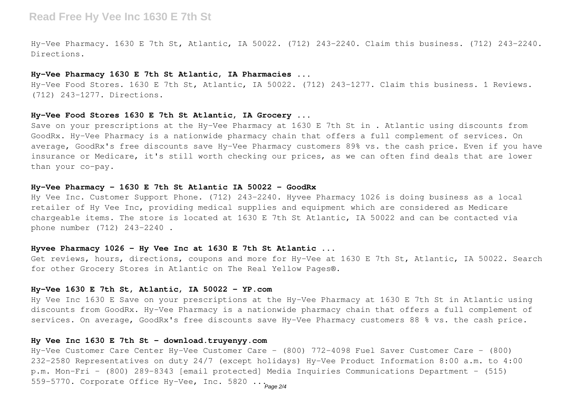## **Read Free Hy Vee Inc 1630 E 7th St**

Hy-Vee Pharmacy. 1630 E 7th St, Atlantic, IA 50022. (712) 243-2240. Claim this business. (712) 243-2240. Directions.

#### **Hy-Vee Pharmacy 1630 E 7th St Atlantic, IA Pharmacies ...**

Hy-Vee Food Stores. 1630 E 7th St, Atlantic, IA 50022. (712) 243-1277. Claim this business. 1 Reviews. (712) 243-1277. Directions.

#### **Hy-Vee Food Stores 1630 E 7th St Atlantic, IA Grocery ...**

Save on your prescriptions at the Hy-Vee Pharmacy at 1630 E 7th St in . Atlantic using discounts from GoodRx. Hy-Vee Pharmacy is a nationwide pharmacy chain that offers a full complement of services. On average, GoodRx's free discounts save Hy-Vee Pharmacy customers 89% vs. the cash price. Even if you have insurance or Medicare, it's still worth checking our prices, as we can often find deals that are lower than your co-pay.

#### **Hy-Vee Pharmacy - 1630 E 7th St Atlantic IA 50022 - GoodRx**

Hy Vee Inc. Customer Support Phone. (712) 243-2240. Hyvee Pharmacy 1026 is doing business as a local retailer of Hy Vee Inc, providing medical supplies and equipment which are considered as Medicare chargeable items. The store is located at 1630 E 7th St Atlantic, IA 50022 and can be contacted via phone number (712) 243-2240 .

#### **Hyvee Pharmacy 1026 - Hy Vee Inc at 1630 E 7th St Atlantic ...**

Get reviews, hours, directions, coupons and more for Hy-Vee at 1630 E 7th St, Atlantic, IA 50022. Search for other Grocery Stores in Atlantic on The Real Yellow Pages®.

## **Hy-Vee 1630 E 7th St, Atlantic, IA 50022 - YP.com**

Hy Vee Inc 1630 E Save on your prescriptions at the Hy-Vee Pharmacy at 1630 E 7th St in Atlantic using discounts from GoodRx. Hy-Vee Pharmacy is a nationwide pharmacy chain that offers a full complement of services. On average, GoodRx's free discounts save Hy-Vee Pharmacy customers 88 % vs. the cash price.

#### **Hy Vee Inc 1630 E 7th St - download.truyenyy.com**

Hy-Vee Customer Care Center Hy-Vee Customer Care - (800) 772-4098 Fuel Saver Customer Care - (800) 232-2580 Representatives on duty 24/7 (except holidays) Hy-Vee Product Information 8:00 a.m. to 4:00 p.m. Mon-Fri - (800) 289-8343 [email protected] Media Inquiries Communications Department – (515) 559-5770. Corporate Office Hy-Vee, Inc. 5820 ... Page 2/4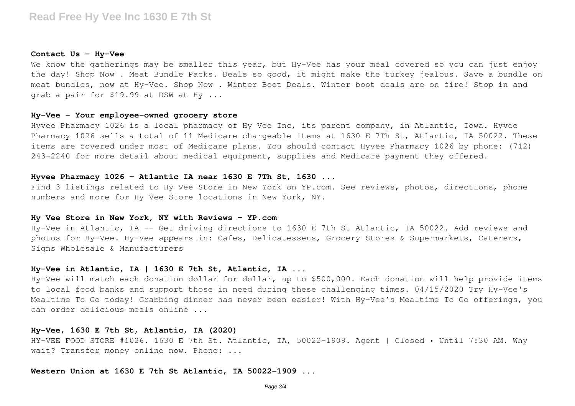#### **Contact Us – Hy-Vee**

We know the gatherings may be smaller this year, but Hy-Vee has your meal covered so you can just enjoy the day! Shop Now . Meat Bundle Packs. Deals so good, it might make the turkey jealous. Save a bundle on meat bundles, now at Hy-Vee. Shop Now . Winter Boot Deals. Winter boot deals are on fire! Stop in and grab a pair for \$19.99 at DSW at Hy ...

#### **Hy-Vee - Your employee-owned grocery store**

Hyvee Pharmacy 1026 is a local pharmacy of Hy Vee Inc, its parent company, in Atlantic, Iowa. Hyvee Pharmacy 1026 sells a total of 11 Medicare chargeable items at 1630 E 7Th St, Atlantic, IA 50022. These items are covered under most of Medicare plans. You should contact Hyvee Pharmacy 1026 by phone: (712) 243-2240 for more detail about medical equipment, supplies and Medicare payment they offered.

#### **Hyvee Pharmacy 1026 - Atlantic IA near 1630 E 7Th St, 1630 ...**

Find 3 listings related to Hy Vee Store in New York on YP.com. See reviews, photos, directions, phone numbers and more for Hy Vee Store locations in New York, NY.

#### **Hy Vee Store in New York, NY with Reviews - YP.com**

Hy-Vee in Atlantic, IA -- Get driving directions to 1630 E 7th St Atlantic, IA 50022. Add reviews and photos for Hy-Vee. Hy-Vee appears in: Cafes, Delicatessens, Grocery Stores & Supermarkets, Caterers, Signs Wholesale & Manufacturers

### **Hy-Vee in Atlantic, IA | 1630 E 7th St, Atlantic, IA ...**

Hy-Vee will match each donation dollar for dollar, up to \$500,000. Each donation will help provide items to local food banks and support those in need during these challenging times. 04/15/2020 Try Hy-Vee's Mealtime To Go today! Grabbing dinner has never been easier! With Hy-Vee's Mealtime To Go offerings, you can order delicious meals online ...

#### **Hy-Vee, 1630 E 7th St, Atlantic, IA (2020)**

HY-VEE FOOD STORE #1026. 1630 E 7th St. Atlantic, IA, 50022-1909. Agent | Closed • Until 7:30 AM. Why wait? Transfer money online now. Phone: ...

**Western Union at 1630 E 7th St Atlantic, IA 50022-1909 ...**